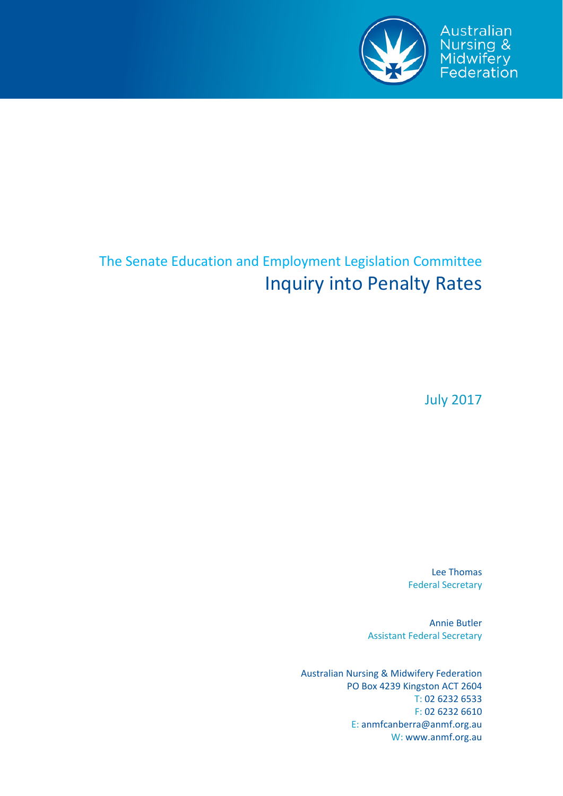

Australian

Nursing &<br>Midwifery<br>Federation

# The Senate Education and Employment Legislation Committee Inquiry into Penalty Rates

July 2017

Lee Thomas Federal Secretary

Annie Butler Assistant Federal Secretary

Australian Nursing & Midwifery Federation PO Box 4239 Kingston ACT 2604 T: 02 6232 6533 F: 02 6232 6610 E: anmfcanberra@anmf.org.au W: www.anmf.org.au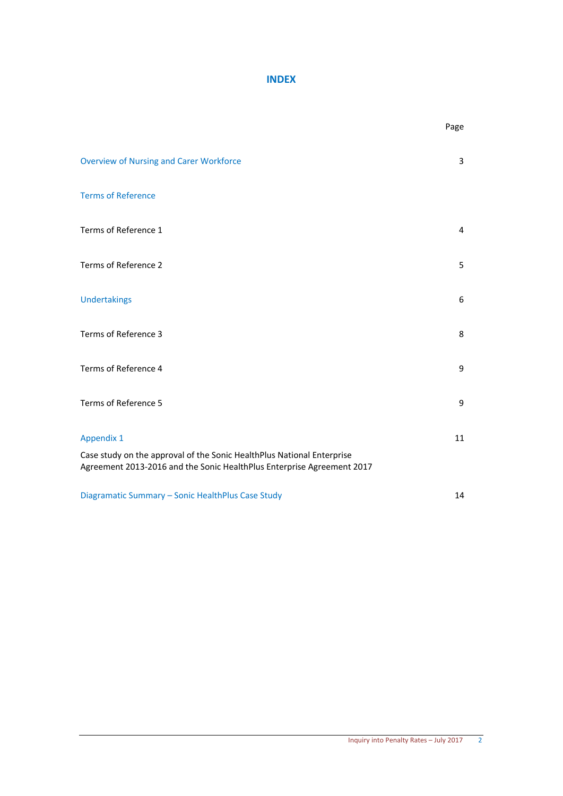### **INDEX**

|                                                                                                                                                  | Page |
|--------------------------------------------------------------------------------------------------------------------------------------------------|------|
| <b>Overview of Nursing and Carer Workforce</b>                                                                                                   | 3    |
| <b>Terms of Reference</b>                                                                                                                        |      |
| Terms of Reference 1                                                                                                                             | 4    |
| Terms of Reference 2                                                                                                                             | 5    |
| <b>Undertakings</b>                                                                                                                              | 6    |
| Terms of Reference 3                                                                                                                             | 8    |
| Terms of Reference 4                                                                                                                             | 9    |
| Terms of Reference 5                                                                                                                             | 9    |
| <b>Appendix 1</b>                                                                                                                                | 11   |
| Case study on the approval of the Sonic HealthPlus National Enterprise<br>Agreement 2013-2016 and the Sonic HealthPlus Enterprise Agreement 2017 |      |
| Diagramatic Summary - Sonic HealthPlus Case Study                                                                                                | 14   |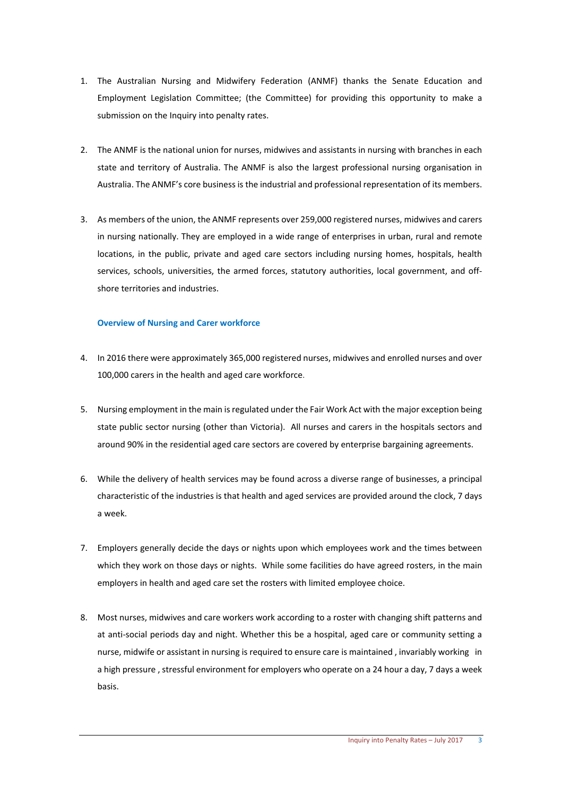- 1. The Australian Nursing and Midwifery Federation (ANMF) thanks the Senate Education and Employment Legislation Committee; (the Committee) for providing this opportunity to make a submission on the Inquiry into penalty rates.
- 2. The ANMF is the national union for nurses, midwives and assistants in nursing with branches in each state and territory of Australia. The ANMF is also the largest professional nursing organisation in Australia. The ANMF's core business is the industrial and professional representation of its members.
- 3. As members of the union, the ANMF represents over 259,000 registered nurses, midwives and carers in nursing nationally. They are employed in a wide range of enterprises in urban, rural and remote locations, in the public, private and aged care sectors including nursing homes, hospitals, health services, schools, universities, the armed forces, statutory authorities, local government, and offshore territories and industries.

#### **Overview of Nursing and Carer workforce**

- 4. In 2016 there were approximately 365,000 registered nurses, midwives and enrolled nurses and over 100,000 carers in the health and aged care workforce.
- 5. Nursing employment in the main isregulated under the Fair Work Act with the major exception being state public sector nursing (other than Victoria). All nurses and carers in the hospitals sectors and around 90% in the residential aged care sectors are covered by enterprise bargaining agreements.
- 6. While the delivery of health services may be found across a diverse range of businesses, a principal characteristic of the industries is that health and aged services are provided around the clock, 7 days a week.
- 7. Employers generally decide the days or nights upon which employees work and the times between which they work on those days or nights. While some facilities do have agreed rosters, in the main employers in health and aged care set the rosters with limited employee choice.
- 8. Most nurses, midwives and care workers work according to a roster with changing shift patterns and at anti‐social periods day and night. Whether this be a hospital, aged care or community setting a nurse, midwife or assistant in nursing is required to ensure care is maintained , invariably working in a high pressure , stressful environment for employers who operate on a 24 hour a day, 7 days a week basis.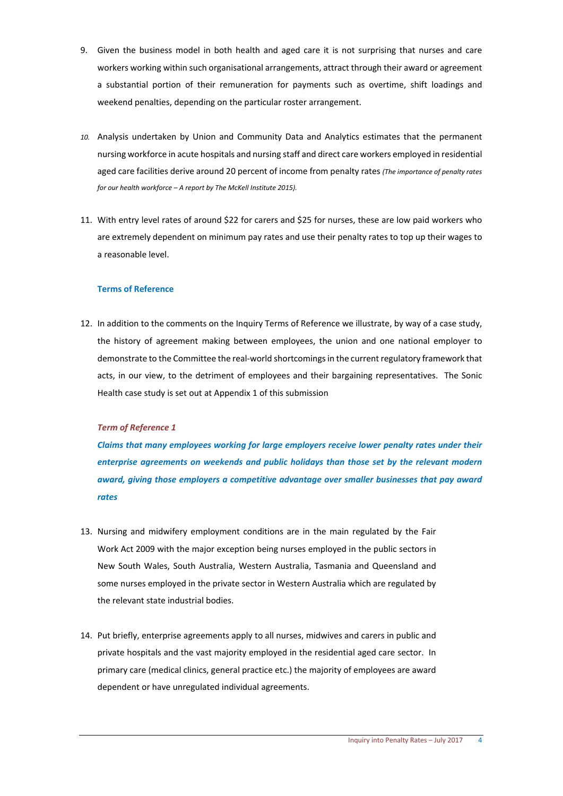- 9. Given the business model in both health and aged care it is not surprising that nurses and care workers working within such organisational arrangements, attract through their award or agreement a substantial portion of their remuneration for payments such as overtime, shift loadings and weekend penalties, depending on the particular roster arrangement.
- *10.* Analysis undertaken by Union and Community Data and Analytics estimates that the permanent nursing workforce in acute hospitals and nursing staff and direct care workers employed in residential aged care facilities derive around 20 percent of income from penalty rates *(The importance of penalty rates for our health workforce – A report by The McKell Institute 2015).*
- 11. With entry level rates of around \$22 for carers and \$25 for nurses, these are low paid workers who are extremely dependent on minimum pay rates and use their penalty rates to top up their wages to a reasonable level.

#### **Terms of Reference**

12. In addition to the comments on the Inquiry Terms of Reference we illustrate, by way of a case study, the history of agreement making between employees, the union and one national employer to demonstrate to the Committee the real‐world shortcomingsin the current regulatory framework that acts, in our view, to the detriment of employees and their bargaining representatives. The Sonic Health case study is set out at Appendix 1 of this submission

#### *Term of Reference 1*

*Claims that many employees working for large employers receive lower penalty rates under their enterprise agreements on weekends and public holidays than those set by the relevant modern award, giving those employers a competitive advantage over smaller businesses that pay award rates*

- 13. Nursing and midwifery employment conditions are in the main regulated by the Fair Work Act 2009 with the major exception being nurses employed in the public sectors in New South Wales, South Australia, Western Australia, Tasmania and Queensland and some nurses employed in the private sector in Western Australia which are regulated by the relevant state industrial bodies.
- 14. Put briefly, enterprise agreements apply to all nurses, midwives and carers in public and private hospitals and the vast majority employed in the residential aged care sector. In primary care (medical clinics, general practice etc.) the majority of employees are award dependent or have unregulated individual agreements.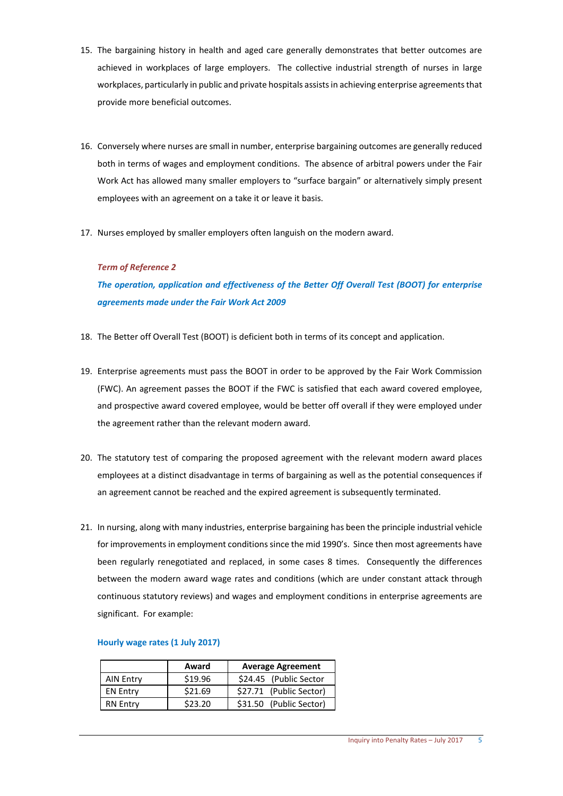- 15. The bargaining history in health and aged care generally demonstrates that better outcomes are achieved in workplaces of large employers. The collective industrial strength of nurses in large workplaces, particularly in public and private hospitals assists in achieving enterprise agreements that provide more beneficial outcomes.
- 16. Conversely where nurses are small in number, enterprise bargaining outcomes are generally reduced both in terms of wages and employment conditions. The absence of arbitral powers under the Fair Work Act has allowed many smaller employers to "surface bargain" or alternatively simply present employees with an agreement on a take it or leave it basis.
- 17. Nurses employed by smaller employers often languish on the modern award.

#### *Term of Reference 2*

*The operation, application and effectiveness of the Better Off Overall Test (BOOT) for enterprise agreements made under the Fair Work Act 2009*

- 18. The Better off Overall Test (BOOT) is deficient both in terms of its concept and application.
- 19. Enterprise agreements must pass the BOOT in order to be approved by the Fair Work Commission (FWC). An agreement passes the BOOT if the FWC is satisfied that each award covered employee, and prospective award covered employee, would be better off overall if they were employed under the agreement rather than the relevant modern award.
- 20. The statutory test of comparing the proposed agreement with the relevant modern award places employees at a distinct disadvantage in terms of bargaining as well as the potential consequences if an agreement cannot be reached and the expired agreement is subsequently terminated.
- 21. In nursing, along with many industries, enterprise bargaining has been the principle industrial vehicle for improvements in employment conditions since the mid 1990's. Since then most agreements have been regularly renegotiated and replaced, in some cases 8 times. Consequently the differences between the modern award wage rates and conditions (which are under constant attack through continuous statutory reviews) and wages and employment conditions in enterprise agreements are significant. For example:

#### **Hourly wage rates (1 July 2017)**

|                  | Award   | <b>Average Agreement</b> |
|------------------|---------|--------------------------|
| <b>AIN Entry</b> | \$19.96 | \$24.45 (Public Sector   |
| <b>EN Entry</b>  | \$21.69 | \$27.71 (Public Sector)  |
| <b>RN Entry</b>  | \$23.20 | \$31.50 (Public Sector)  |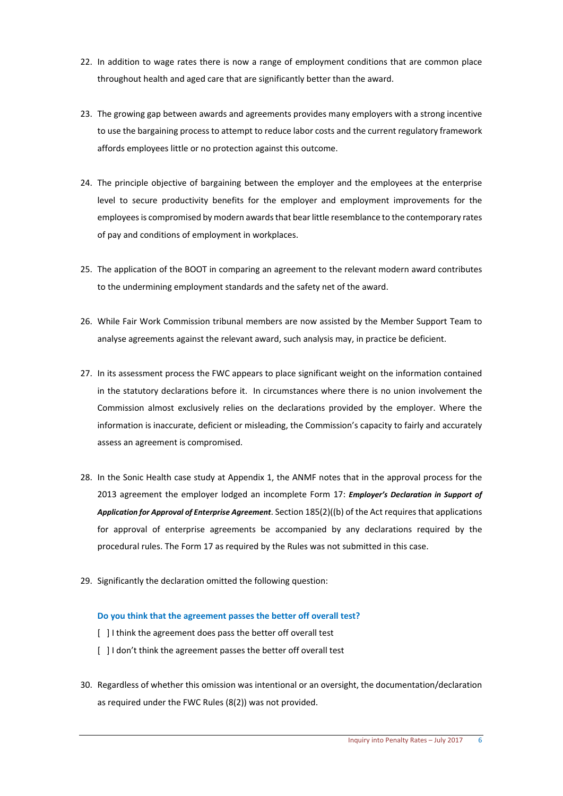- 22. In addition to wage rates there is now a range of employment conditions that are common place throughout health and aged care that are significantly better than the award.
- 23. The growing gap between awards and agreements provides many employers with a strong incentive to use the bargaining processto attempt to reduce labor costs and the current regulatory framework affords employees little or no protection against this outcome.
- 24. The principle objective of bargaining between the employer and the employees at the enterprise level to secure productivity benefits for the employer and employment improvements for the employeesis compromised by modern awardsthat bearlittle resemblance to the contemporary rates of pay and conditions of employment in workplaces.
- 25. The application of the BOOT in comparing an agreement to the relevant modern award contributes to the undermining employment standards and the safety net of the award.
- 26. While Fair Work Commission tribunal members are now assisted by the Member Support Team to analyse agreements against the relevant award, such analysis may, in practice be deficient.
- 27. In its assessment process the FWC appears to place significant weight on the information contained in the statutory declarations before it. In circumstances where there is no union involvement the Commission almost exclusively relies on the declarations provided by the employer. Where the information is inaccurate, deficient or misleading, the Commission's capacity to fairly and accurately assess an agreement is compromised.
- 28. In the Sonic Health case study at Appendix 1, the ANMF notes that in the approval process for the 2013 agreement the employer lodged an incomplete Form 17: *Employer's Declaration in Support of Application for Approval of Enterprise Agreement*. Section 185(2)((b) of the Act requires that applications for approval of enterprise agreements be accompanied by any declarations required by the procedural rules. The Form 17 as required by the Rules was not submitted in this case.
- 29. Significantly the declaration omitted the following question:

#### **Do you think that the agreement passes the better off overall test?**

- [ ] I think the agreement does pass the better off overall test
- [ ] I don't think the agreement passes the better off overall test
- 30. Regardless of whether this omission was intentional or an oversight, the documentation/declaration as required under the FWC Rules (8(2)) was not provided.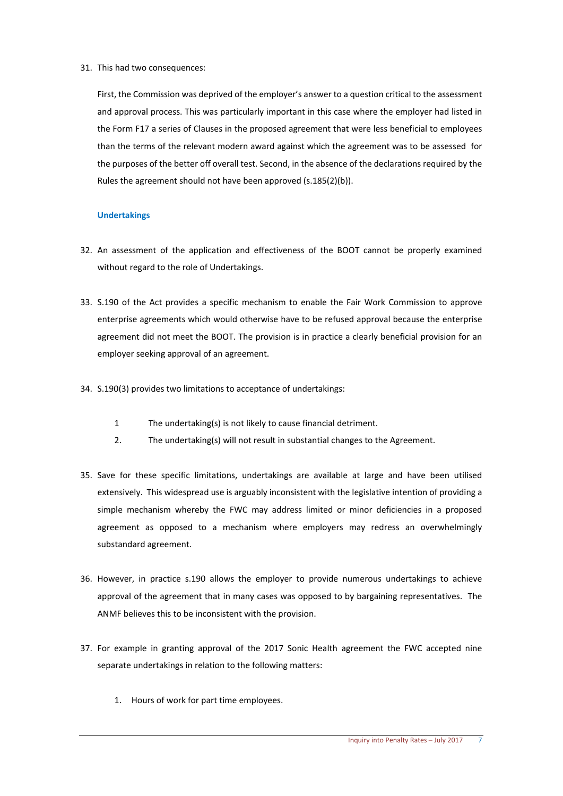#### 31. This had two consequences:

First, the Commission was deprived of the employer's answer to a question critical to the assessment and approval process. This was particularly important in this case where the employer had listed in the Form F17 a series of Clauses in the proposed agreement that were less beneficial to employees than the terms of the relevant modern award against which the agreement was to be assessed for the purposes of the better off overall test. Second, in the absence of the declarations required by the Rules the agreement should not have been approved (s.185(2)(b)).

#### **Undertakings**

- 32. An assessment of the application and effectiveness of the BOOT cannot be properly examined without regard to the role of Undertakings.
- 33. S.190 of the Act provides a specific mechanism to enable the Fair Work Commission to approve enterprise agreements which would otherwise have to be refused approval because the enterprise agreement did not meet the BOOT. The provision is in practice a clearly beneficial provision for an employer seeking approval of an agreement.
- 34. S.190(3) provides two limitations to acceptance of undertakings:
	- 1 The undertaking(s) is not likely to cause financial detriment.
	- 2. The undertaking(s) will not result in substantial changes to the Agreement.
- 35. Save for these specific limitations, undertakings are available at large and have been utilised extensively. This widespread use is arguably inconsistent with the legislative intention of providing a simple mechanism whereby the FWC may address limited or minor deficiencies in a proposed agreement as opposed to a mechanism where employers may redress an overwhelmingly substandard agreement.
- 36. However, in practice s.190 allows the employer to provide numerous undertakings to achieve approval of the agreement that in many cases was opposed to by bargaining representatives. The ANMF believes this to be inconsistent with the provision.
- 37. For example in granting approval of the 2017 Sonic Health agreement the FWC accepted nine separate undertakings in relation to the following matters:
	- 1. Hours of work for part time employees.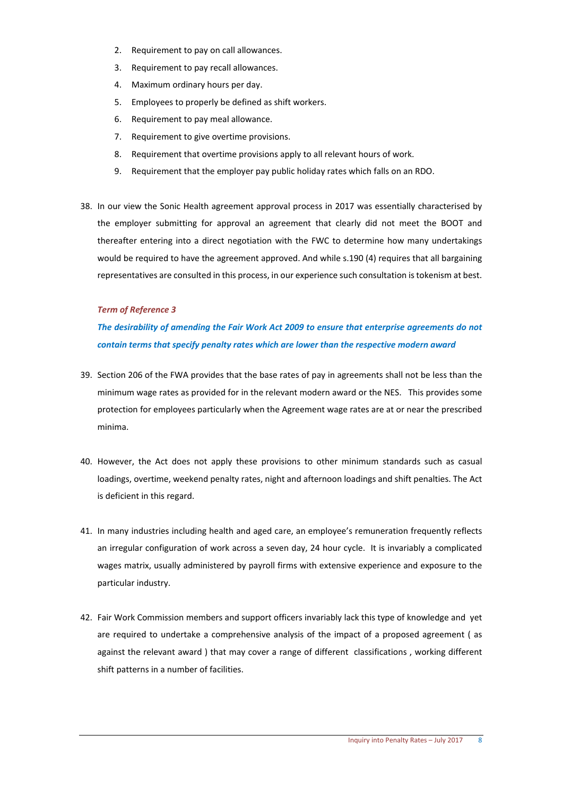- 2. Requirement to pay on call allowances.
- 3. Requirement to pay recall allowances.
- 4. Maximum ordinary hours per day.
- 5. Employees to properly be defined as shift workers.
- 6. Requirement to pay meal allowance.
- 7. Requirement to give overtime provisions.
- 8. Requirement that overtime provisions apply to all relevant hours of work.
- 9. Requirement that the employer pay public holiday rates which falls on an RDO.
- 38. In our view the Sonic Health agreement approval process in 2017 was essentially characterised by the employer submitting for approval an agreement that clearly did not meet the BOOT and thereafter entering into a direct negotiation with the FWC to determine how many undertakings would be required to have the agreement approved. And while s.190 (4) requires that all bargaining representatives are consulted in this process, in our experience such consultation istokenism at best.

#### *Term of Reference 3*

### *The desirability of amending the Fair Work Act 2009 to ensure that enterprise agreements do not contain terms that specify penalty rates which are lower than the respective modern award*

- 39. Section 206 of the FWA provides that the base rates of pay in agreements shall not be less than the minimum wage rates as provided for in the relevant modern award or the NES. This provides some protection for employees particularly when the Agreement wage rates are at or near the prescribed minima.
- 40. However, the Act does not apply these provisions to other minimum standards such as casual loadings, overtime, weekend penalty rates, night and afternoon loadings and shift penalties. The Act is deficient in this regard.
- 41. In many industries including health and aged care, an employee's remuneration frequently reflects an irregular configuration of work across a seven day, 24 hour cycle. It is invariably a complicated wages matrix, usually administered by payroll firms with extensive experience and exposure to the particular industry.
- 42. Fair Work Commission members and support officers invariably lack this type of knowledge and yet are required to undertake a comprehensive analysis of the impact of a proposed agreement ( as against the relevant award ) that may cover a range of different classifications, working different shift patterns in a number of facilities.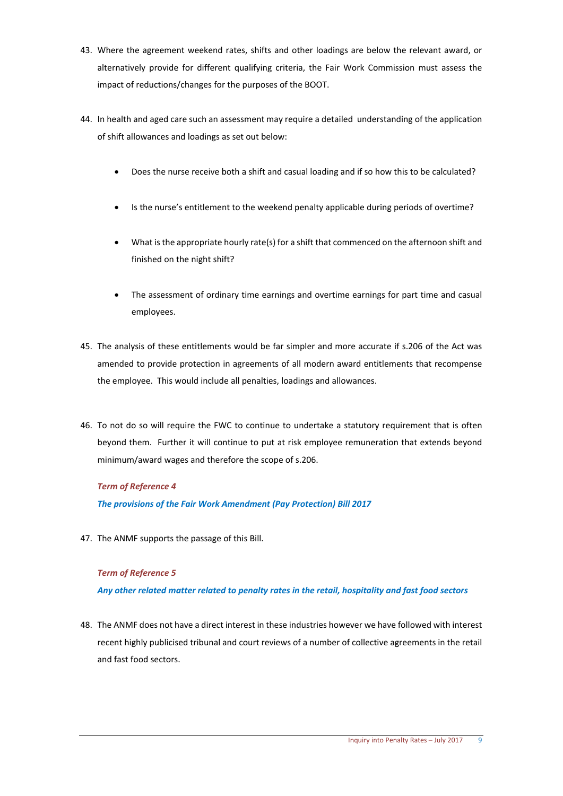- 43. Where the agreement weekend rates, shifts and other loadings are below the relevant award, or alternatively provide for different qualifying criteria, the Fair Work Commission must assess the impact of reductions/changes for the purposes of the BOOT.
- 44. In health and aged care such an assessment may require a detailed understanding of the application of shift allowances and loadings as set out below:
	- Does the nurse receive both a shift and casual loading and if so how this to be calculated?
	- Is the nurse's entitlement to the weekend penalty applicable during periods of overtime?
	- What is the appropriate hourly rate(s) for a shift that commenced on the afternoon shift and finished on the night shift?
	- The assessment of ordinary time earnings and overtime earnings for part time and casual employees.
- 45. The analysis of these entitlements would be far simpler and more accurate if s.206 of the Act was amended to provide protection in agreements of all modern award entitlements that recompense the employee. This would include all penalties, loadings and allowances.
- 46. To not do so will require the FWC to continue to undertake a statutory requirement that is often beyond them. Further it will continue to put at risk employee remuneration that extends beyond minimum/award wages and therefore the scope of s.206.

#### *Term of Reference 4*

*The provisions of the Fair Work Amendment (Pay Protection) Bill 2017*

47. The ANMF supports the passage of this Bill.

#### *Term of Reference 5*

*Any other related matter related to penalty rates in the retail, hospitality and fast food sectors*

48. The ANMF does not have a direct interest in these industries however we have followed with interest recent highly publicised tribunal and court reviews of a number of collective agreements in the retail and fast food sectors.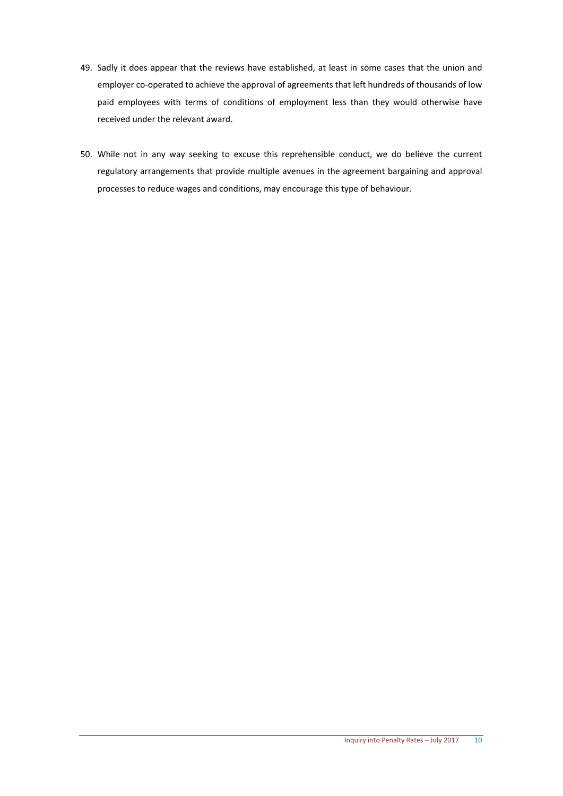- 49. Sadly it does appear that the reviews have established, at least in some cases that the union and employer co-operated to achieve the approval of agreements that left hundreds of thousands of low paid employees with terms of conditions of employment less than they would otherwise have received under the relevant award.
- 50. While not in any way seeking to excuse this reprehensible conduct, we do believe the current regulatory arrangements that provide multiple avenues in the agreement bargaining and approval processes to reduce wages and conditions, may encourage this type of behaviour.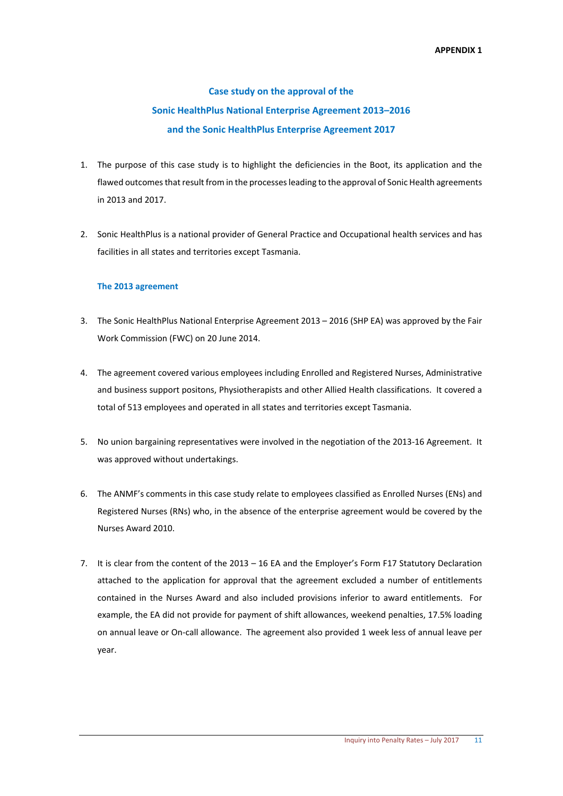# **Case study on the approval of the Sonic HealthPlus National Enterprise Agreement 2013–2016 and the Sonic HealthPlus Enterprise Agreement 2017**

- 1. The purpose of this case study is to highlight the deficiencies in the Boot, its application and the flawed outcomes that result from in the processes leading to the approval of Sonic Health agreements in 2013 and 2017.
- 2. Sonic HealthPlus is a national provider of General Practice and Occupational health services and has facilities in all states and territories except Tasmania.

#### **The 2013 agreement**

- 3. The Sonic HealthPlus National Enterprise Agreement 2013 2016 (SHP EA) was approved by the Fair Work Commission (FWC) on 20 June 2014.
- 4. The agreement covered various employees including Enrolled and Registered Nurses, Administrative and business support positons, Physiotherapists and other Allied Health classifications. It covered a total of 513 employees and operated in all states and territories except Tasmania.
- 5. No union bargaining representatives were involved in the negotiation of the 2013-16 Agreement. It was approved without undertakings.
- 6. The ANMF's comments in this case study relate to employees classified as Enrolled Nurses (ENs) and Registered Nurses (RNs) who, in the absence of the enterprise agreement would be covered by the Nurses Award 2010.
- 7. It is clear from the content of the 2013 16 EA and the Employer's Form F17 Statutory Declaration attached to the application for approval that the agreement excluded a number of entitlements contained in the Nurses Award and also included provisions inferior to award entitlements. For example, the EA did not provide for payment of shift allowances, weekend penalties, 17.5% loading on annual leave or On‐call allowance. The agreement also provided 1 week less of annual leave per year.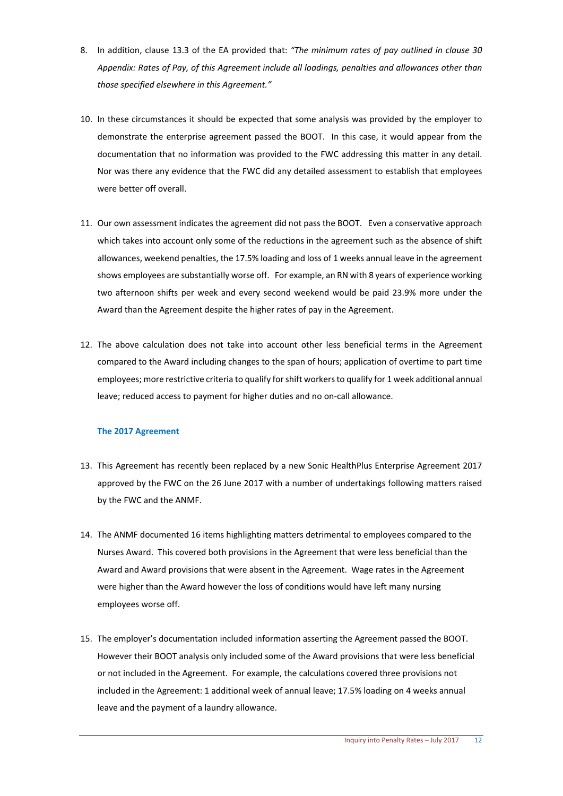- 8. In addition, clause 13.3 of the EA provided that: *"The minimum rates of pay outlined in clause 30 Appendix: Rates of Pay, of this Agreement include all loadings, penalties and allowances other than those specified elsewhere in this Agreement."*
- 10. In these circumstances it should be expected that some analysis was provided by the employer to demonstrate the enterprise agreement passed the BOOT. In this case, it would appear from the documentation that no information was provided to the FWC addressing this matter in any detail. Nor was there any evidence that the FWC did any detailed assessment to establish that employees were better off overall.
- 11. Our own assessment indicates the agreement did not pass the BOOT. Even a conservative approach which takes into account only some of the reductions in the agreement such as the absence of shift allowances, weekend penalties, the 17.5% loading and loss of 1 weeks annual leave in the agreement shows employees are substantially worse off. For example, an RN with 8 years of experience working two afternoon shifts per week and every second weekend would be paid 23.9% more under the Award than the Agreement despite the higher rates of pay in the Agreement.
- 12. The above calculation does not take into account other less beneficial terms in the Agreement compared to the Award including changes to the span of hours; application of overtime to part time employees; more restrictive criteria to qualify forshift workersto qualify for 1 week additional annual leave; reduced access to payment for higher duties and no on‐call allowance.

#### **The 2017 Agreement**

- 13. This Agreement has recently been replaced by a new Sonic HealthPlus Enterprise Agreement 2017 approved by the FWC on the 26 June 2017 with a number of undertakings following matters raised by the FWC and the ANMF.
- 14. The ANMF documented 16 items highlighting matters detrimental to employees compared to the Nurses Award. This covered both provisions in the Agreement that were less beneficial than the Award and Award provisions that were absent in the Agreement. Wage rates in the Agreement were higher than the Award however the loss of conditions would have left many nursing employees worse off.
- 15. The employer's documentation included information asserting the Agreement passed the BOOT. However their BOOT analysis only included some of the Award provisions that were less beneficial or not included in the Agreement. For example, the calculations covered three provisions not included in the Agreement: 1 additional week of annual leave; 17.5% loading on 4 weeks annual leave and the payment of a laundry allowance.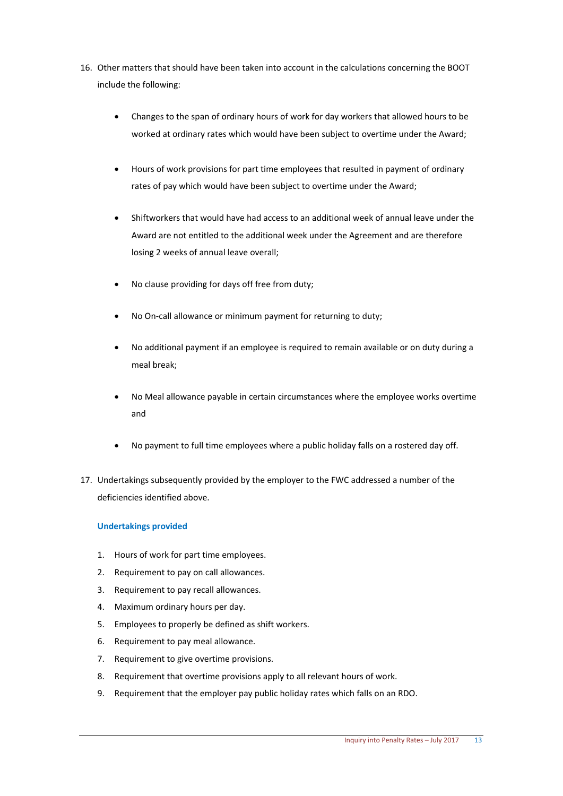- 16. Other matters that should have been taken into account in the calculations concerning the BOOT include the following:
	- Changes to the span of ordinary hours of work for day workers that allowed hours to be worked at ordinary rates which would have been subject to overtime under the Award;
	- Hours of work provisions for part time employees that resulted in payment of ordinary rates of pay which would have been subject to overtime under the Award;
	- Shiftworkers that would have had access to an additional week of annual leave under the Award are not entitled to the additional week under the Agreement and are therefore losing 2 weeks of annual leave overall;
	- No clause providing for days off free from duty;
	- No On‐call allowance or minimum payment for returning to duty;
	- No additional payment if an employee is required to remain available or on duty during a meal break;
	- No Meal allowance payable in certain circumstances where the employee works overtime and
	- No payment to full time employees where a public holiday falls on a rostered day off.
- 17. Undertakings subsequently provided by the employer to the FWC addressed a number of the deficiencies identified above.

#### **Undertakings provided**

- 1. Hours of work for part time employees.
- 2. Requirement to pay on call allowances.
- 3. Requirement to pay recall allowances.
- 4. Maximum ordinary hours per day.
- 5. Employees to properly be defined as shift workers.
- 6. Requirement to pay meal allowance.
- 7. Requirement to give overtime provisions.
- 8. Requirement that overtime provisions apply to all relevant hours of work.
- 9. Requirement that the employer pay public holiday rates which falls on an RDO.